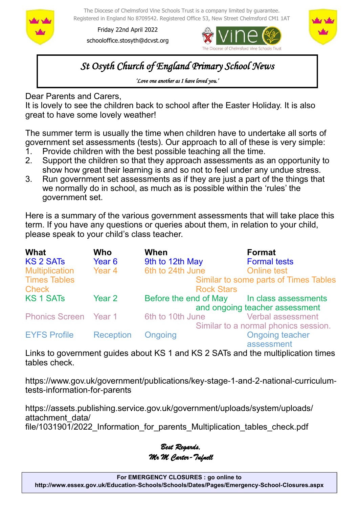

The Diocese of Chelmsford Vine Schools Trust is a company limited by guarantee. Registered in England No 8709542. Registered Office 53, New Street Chelmsford CM1 1AT

Friday 22nd April 2022 schooloffice.stosyth@dcvst.org





# *St Osyth Church of England Primary School News*

*'Love one another as I have loved you.'* 

Dear Parents and Carers,

It is lovely to see the children back to school after the Easter Holiday. It is also great to have some lovely weather!

The summer term is usually the time when children have to undertake all sorts of government set assessments (tests). Our approach to all of these is very simple:

- 1. Provide children with the best possible teaching all the time.
- 2. Support the children so that they approach assessments as an opportunity to show how great their learning is and so not to feel under any undue stress.
- 3. Run government set assessments as if they are just a part of the things that we normally do in school, as much as is possible within the 'rules' the government set.

Here is a summary of the various government assessments that will take place this term. If you have any questions or queries about them, in relation to your child, please speak to your child's class teacher.

| <b>What</b>                  | <b>Who</b>       | When                                                       | <b>Format</b>                        |  |  |
|------------------------------|------------------|------------------------------------------------------------|--------------------------------------|--|--|
| <b>KS 2 SATs</b>             | Year 6           | 9th to 12th May                                            | <b>Formal tests</b>                  |  |  |
| <b>Multiplication</b>        | Year 4           | 6th to 24th June                                           | <b>Online test</b>                   |  |  |
| <b>Times Tables</b>          |                  | Similar to some parts of Times Tables<br><b>Rock Stars</b> |                                      |  |  |
| <b>Check</b>                 |                  |                                                            |                                      |  |  |
| <b>KS1SATs</b>               | Year 2           | Before the end of May In class assessments                 |                                      |  |  |
|                              |                  | and ongoing teacher assessment                             |                                      |  |  |
| <b>Phonics Screen</b> Year 1 |                  | 6th to 10th June                                           | <b>Verbal assessment</b>             |  |  |
|                              |                  |                                                            | Similar to a normal phonics session. |  |  |
| <b>EYFS Profile</b>          | <b>Reception</b> | <b>Ongoing</b>                                             | <b>Ongoing teacher</b>               |  |  |
|                              |                  |                                                            | ------------                         |  |  |

assessment

Links to government guides about KS 1 and KS 2 SATs and the multiplication times tables check.

https://www.gov.uk/government/publications/key-stage-1-and-2-national-curriculumtests-information-for-parents

https://assets.publishing.service.gov.uk/government/uploads/system/uploads/ attachment\_data/ file/1031901/2022 Information for parents Multiplication tables check.pdf

*Best Regards, Mr M Carter-Tufnell*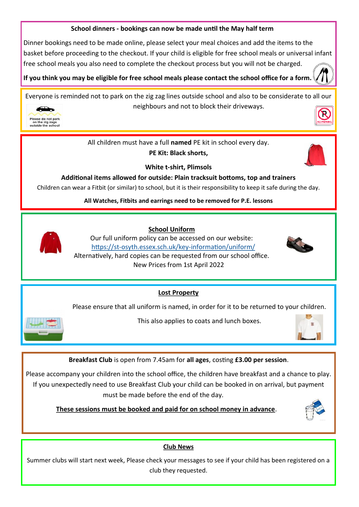### **School dinners - bookings can now be made until the May half term**

Dinner bookings need to be made online, please select your meal choices and add the items to the basket before proceeding to the checkout. If your child is eligible for free school meals or universal infant free school meals you also need to complete the checkout process but you will not be charged.

**If you think you may be eligible for free school meals please contact the school office for a form.** 

Everyone is reminded not to park on the zig zag lines outside school and also to be considerate to all our neighbours and not to block their driveways.



All children must have a full **named** PE kit in school every day.

**PE Kit: Black shorts,** 



**White t-shirt, Plimsols**

**Additional items allowed for outside: Plain tracksuit bottoms, top and trainers**

Children can wear a Fitbit (or similar) to school, but it is their responsibility to keep it safe during the day.

**All Watches, Fitbits and earrings need to be removed for P.E. lessons**



 **School Uniform**

Our full uniform policy can be accessed on our website: https://st-[osyth.essex.sch.uk/key](https://st-osyth.essex.sch.uk/key-information/uniform/)-information/uniform/ Alternatively, hard copies can be requested from our school office. New Prices from 1st April 2022



**Lost Property**

Please ensure that all uniform is named, in order for it to be returned to your children.



This also applies to coats and lunch boxes.



**Breakfast Club** is open from 7.45am for **all ages**, costing **£3.00 per session**.

Please accompany your children into the school office, the children have breakfast and a chance to play. If you unexpectedly need to use Breakfast Club your child can be booked in on arrival, but payment must be made before the end of the day.

 **These sessions must be booked and paid for on school money in advance**.



# **Club News**

Summer clubs will start next week, Please check your messages to see if your child has been registered on a club they requested.